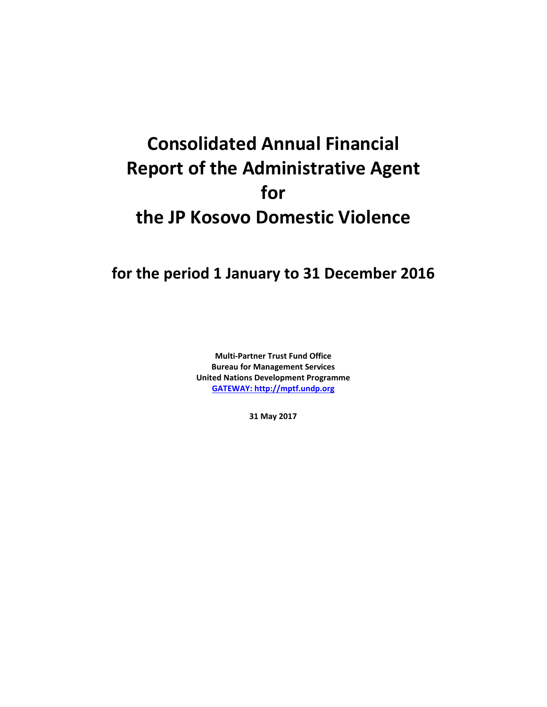# **Consolidated Annual Financial Report of the Administrative Agent for the JP Kosovo Domestic Violence**

## **for the period 1 January to 31 December 2016**

**Multi-Partner Trust Fund Office Bureau for Management Services United Nations Development Programme [GATEWAY: http://mptf.undp.org](http://mptf.undp.org/)**

**31 May 2017**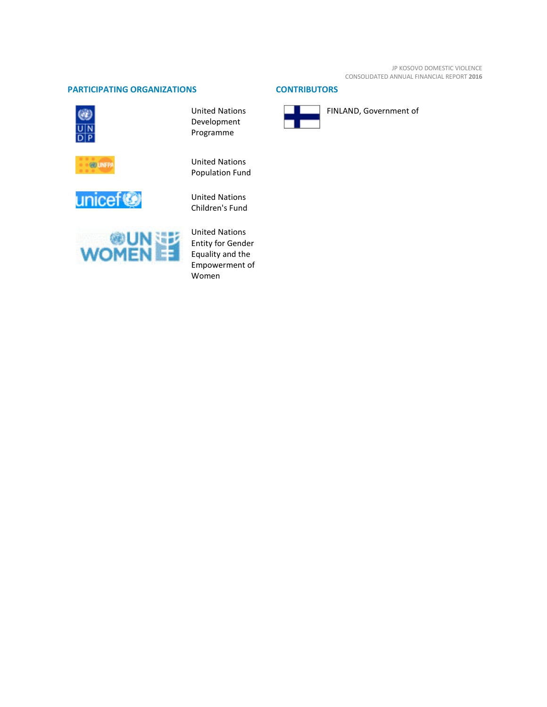### **PARTICIPATING ORGANIZATIONS CONTRIBUTORS**







United Nations Development Programme

United Nations Population Fund

United Nations Children's Fund



United Nations Entity for Gender Equality and the Empowerment of Women



FINLAND, Government of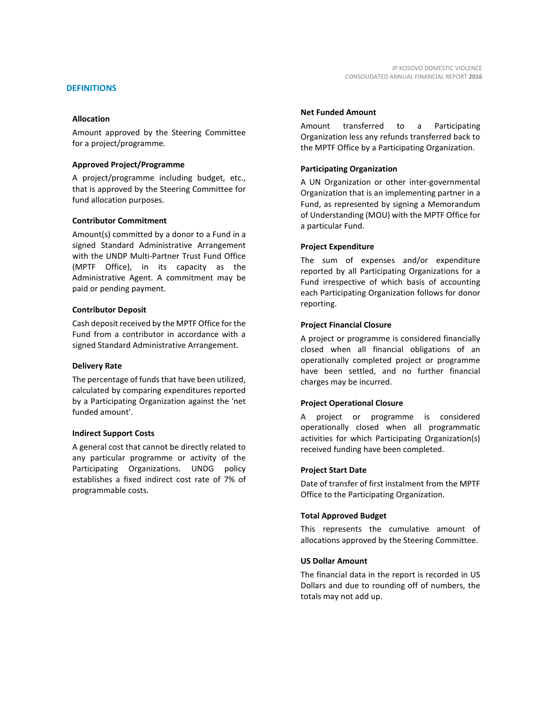Amount approved by the Steering Committee for a project/programme.

#### **Approved Project/Programme**

A project/programme including budget, etc., that is approved by the Steering Committee for fund allocation purposes.

#### **Contributor Commitment**

Amount(s) committed by a donor to a Fund in a signed Standard Administrative Arrangement with the UNDP Multi-Partner Trust Fund Office (MPTF Office), in its capacity as the Administrative Agent. A commitment may be paid or pending payment.

#### **Contributor Deposit**

Cash deposit received by the MPTF Office for the Fund from a contributor in accordance with a signed Standard Administrative Arrangement.

#### **Delivery Rate**

The percentage of funds that have been utilized, calculated by comparing expenditures reported by a Participating Organization against the 'net funded amount'.

#### **Indirect Support Costs**

A general cost that cannot be directly related to any particular programme or activity of the Participating Organizations. UNDG policy establishes a fixed indirect cost rate of 7% of programmable costs.

#### **Net Funded Amount**

Amount transferred to a Participating Organization less any refunds transferred back to the MPTF Office by a Participating Organization.

#### **Participating Organization**

A UN Organization or other inter-governmental Organization that is an implementing partner in a Fund, as represented by signing a Memorandum of Understanding (MOU) with the MPTF Office for a particular Fund.

#### **Project Expenditure**

The sum of expenses and/or expenditure reported by all Participating Organizations for a Fund irrespective of which basis of accounting each Participating Organization follows for donor reporting.

#### **Project Financial Closure**

A project or programme is considered financially closed when all financial obligations of an operationally completed project or programme have been settled, and no further financial charges may be incurred.

#### **Project Operational Closure**

A project or programme is considered operationally closed when all programmatic activities for which Participating Organization(s) received funding have been completed.

#### **Project Start Date**

Date of transfer of first instalment from the MPTF Office to the Participating Organization.

#### **Total Approved Budget**

This represents the cumulative amount of allocations approved by the Steering Committee.

#### **US Dollar Amount**

The financial data in the report is recorded in US Dollars and due to rounding off of numbers, the totals may not add up.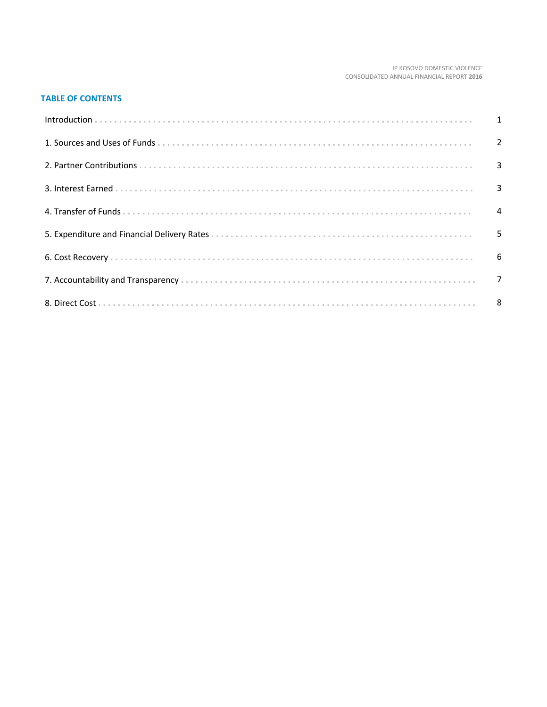#### JP KOSOVO DOMESTIC VIOLENCE CONSOLIDATED ANNUAL FINANCIAL REPORT 2016

#### **TABLE OF CONTENTS**

| 5 |
|---|
|   |
|   |
|   |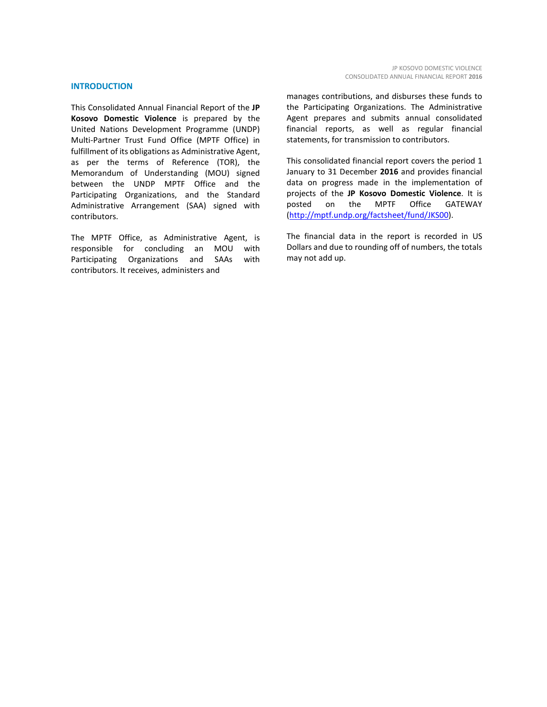#### **INTRODUCTION**

This Consolidated Annual Financial Report of the **JP Kosovo Domestic Violence** is prepared by the United Nations Development Programme (UNDP) Multi-Partner Trust Fund Office (MPTF Office) in fulfillment of its obligations as Administrative Agent, as per the terms of Reference (TOR), the Memorandum of Understanding (MOU) signed between the UNDP MPTF Office and the Participating Organizations, and the Standard Administrative Arrangement (SAA) signed with contributors.

The MPTF Office, as Administrative Agent, is responsible for concluding an MOU with Participating Organizations and SAAs with contributors. It receives, administers and

manages contributions, and disburses these funds to the Participating Organizations. The Administrative Agent prepares and submits annual consolidated financial reports, as well as regular financial statements, for transmission to contributors.

This consolidated financial report covers the period 1 January to 31 December **2016** and provides financial data on progress made in the implementation of projects of the **JP Kosovo Domestic Violence**. It is posted on the MPTF Office GATEWAY [\(http://mptf.undp.org/factsheet/fund/JKS00\)](http://mptf.undp.org/factsheet/fund/JKS00).

The financial data in the report is recorded in US Dollars and due to rounding off of numbers, the totals may not add up.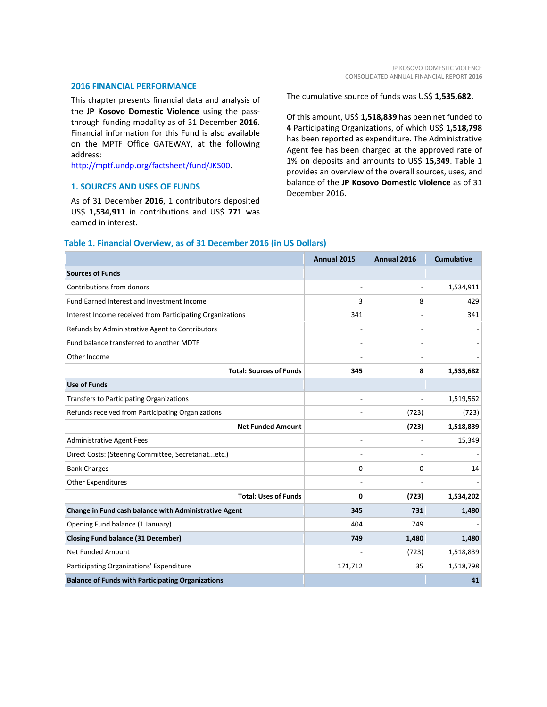#### **2016 FINANCIAL PERFORMANCE**

This chapter presents financial data and analysis of the **JP Kosovo Domestic Violence** using the passthrough funding modality as of 31 December **2016**. Financial information for this Fund is also available on the MPTF Office GATEWAY, at the following address:

[http://mptf.undp.org/factsheet/fund/JKS00.](http://mptf.undp.org/factsheet/fund/JKS00)

#### **1. SOURCES AND USES OF FUNDS**

As of 31 December **2016**, 1 contributors deposited US\$ **1,534,911** in contributions and US\$ **771** was earned in interest.

The cumulative source of funds was US\$ **1,535,682.**

Of this amount, US\$ **1,518,839** has been net funded to **4** Participating Organizations, of which US\$ **1,518,798** has been reported as expenditure. The Administrative Agent fee has been charged at the approved rate of 1% on deposits and amounts to US\$ **15,349**. Table 1 provides an overview of the overall sources, uses, and balance of the **JP Kosovo Domestic Violence** as of 31 December 2016.

|                                                           | Annual 2015 | Annual 2016 | <b>Cumulative</b> |
|-----------------------------------------------------------|-------------|-------------|-------------------|
| <b>Sources of Funds</b>                                   |             |             |                   |
| Contributions from donors                                 |             |             | 1,534,911         |
| Fund Earned Interest and Investment Income                | 3           | 8           | 429               |
| Interest Income received from Participating Organizations | 341         |             | 341               |
| Refunds by Administrative Agent to Contributors           |             |             |                   |
| Fund balance transferred to another MDTF                  |             |             |                   |
| Other Income                                              |             |             |                   |
| <b>Total: Sources of Funds</b>                            | 345         | 8           | 1,535,682         |
| <b>Use of Funds</b>                                       |             |             |                   |
| Transfers to Participating Organizations                  |             |             | 1,519,562         |
| Refunds received from Participating Organizations         |             | (723)       | (723)             |
| <b>Net Funded Amount</b>                                  |             | (723)       | 1,518,839         |
| <b>Administrative Agent Fees</b>                          |             |             | 15,349            |
| Direct Costs: (Steering Committee, Secretariatetc.)       |             |             |                   |
| <b>Bank Charges</b>                                       | $\Omega$    | 0           | 14                |
| <b>Other Expenditures</b>                                 |             |             |                   |
| <b>Total: Uses of Funds</b>                               | $\Omega$    | (723)       | 1,534,202         |
| Change in Fund cash balance with Administrative Agent     | 345         | 731         | 1,480             |
| Opening Fund balance (1 January)                          | 404         | 749         |                   |
| <b>Closing Fund balance (31 December)</b>                 | 749         | 1,480       | 1,480             |
| <b>Net Funded Amount</b>                                  |             | (723)       | 1,518,839         |
| Participating Organizations' Expenditure                  | 171,712     | 35          | 1,518,798         |
| <b>Balance of Funds with Participating Organizations</b>  |             |             | 41                |

#### **Table 1. Financial Overview, as of 31 December 2016 (in US Dollars)**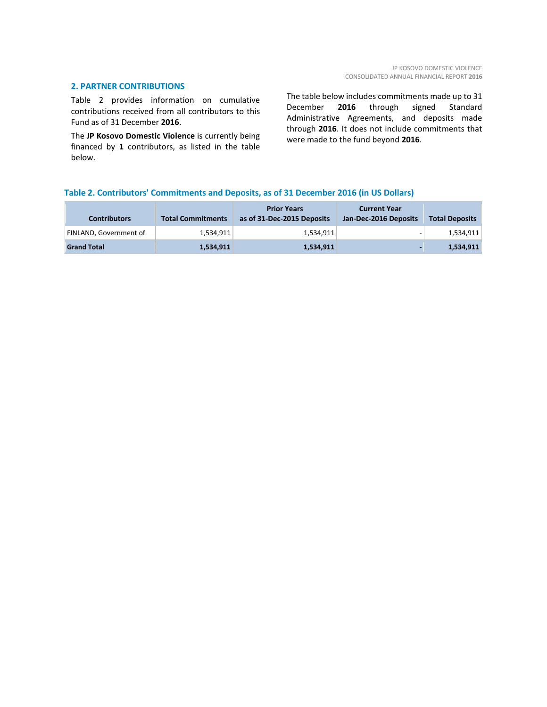#### **2. PARTNER CONTRIBUTIONS**

Table 2 provides information on cumulative contributions received from all contributors to this Fund as of 31 December **2016**.

The **JP Kosovo Domestic Violence** is currently being financed by **1** contributors, as listed in the table below.

The table below includes commitments made up to 31 December **2016** through signed Standard Administrative Agreements, and deposits made through **2016**. It does not include commitments that were made to the fund beyond **2016**.

#### **Table 2. Contributors' Commitments and Deposits, as of 31 December 2016 (in US Dollars)**

| <b>Contributors</b>    | <b>Total Commitments</b> | <b>Prior Years</b><br>as of 31-Dec-2015 Deposits | <b>Current Year</b><br>Jan-Dec-2016 Deposits | <b>Total Deposits</b> |
|------------------------|--------------------------|--------------------------------------------------|----------------------------------------------|-----------------------|
| FINLAND. Government of | 1.534.911                | 1.534.911                                        |                                              | 1,534,911             |
| <b>Grand Total</b>     | 1,534,911                | 1,534,911                                        |                                              | 1,534,911             |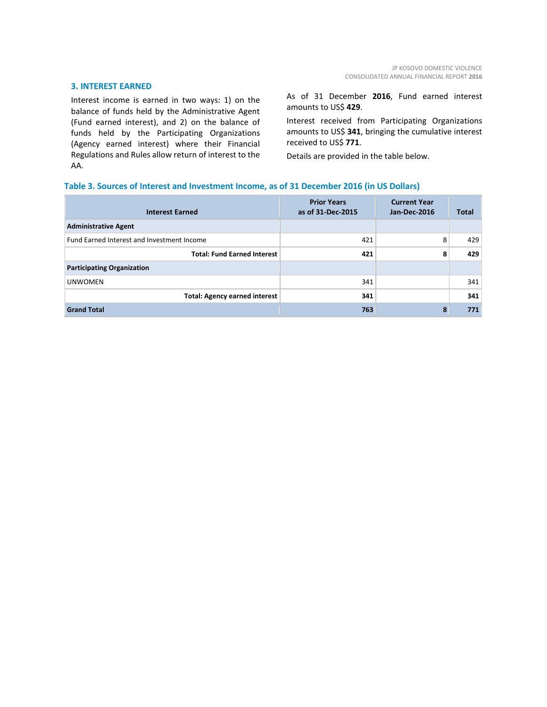#### **3. INTEREST EARNED**

Interest income is earned in two ways: 1) on the balance of funds held by the Administrative Agent (Fund earned interest), and 2) on the balance of funds held by the Participating Organizations (Agency earned interest) where their Financial Regulations and Rules allow return of interest to the AA.

As of 31 December **2016**, Fund earned interest amounts to US\$ **429**.

Interest received from Participating Organizations amounts to US\$ **341**, bringing the cumulative interest received to US\$ **771**.

Details are provided in the table below.

#### **Table 3. Sources of Interest and Investment Income, as of 31 December 2016 (in US Dollars)**

| <b>Interest Earned</b>                     | <b>Prior Years</b><br>as of 31-Dec-2015 | <b>Current Year</b><br>Jan-Dec-2016 | Total |
|--------------------------------------------|-----------------------------------------|-------------------------------------|-------|
| <b>Administrative Agent</b>                |                                         |                                     |       |
| Fund Earned Interest and Investment Income | 421                                     | 8                                   | 429   |
| <b>Total: Fund Earned Interest</b>         | 421                                     | 8                                   | 429   |
| <b>Participating Organization</b>          |                                         |                                     |       |
| <b>UNWOMEN</b>                             | 341                                     |                                     | 341   |
| <b>Total: Agency earned interest</b>       | 341                                     |                                     | 341   |
| <b>Grand Total</b>                         | 763                                     | 8                                   | 771   |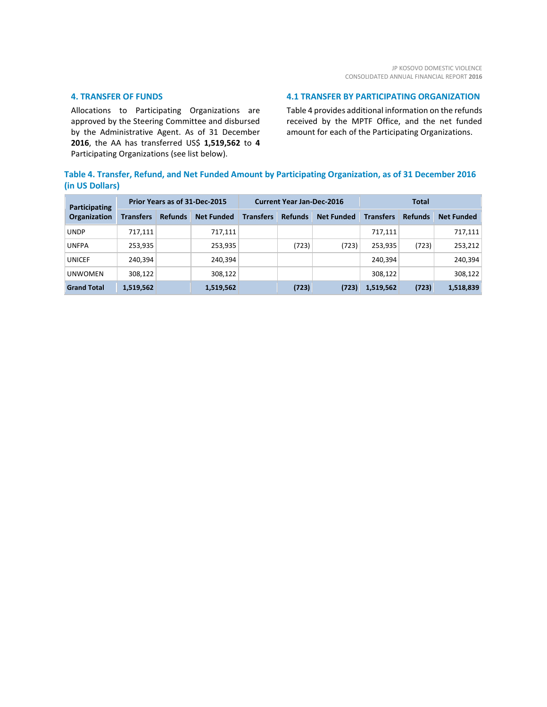#### **4. TRANSFER OF FUNDS**

Allocations to Participating Organizations are approved by the Steering Committee and disbursed by the Administrative Agent. As of 31 December **2016**, the AA has transferred US\$ **1,519,562** to **4** Participating Organizations (see list below).

#### **4.1 TRANSFER BY PARTICIPATING ORGANIZATION**

Table 4 provides additional information on the refunds received by the MPTF Office, and the net funded amount for each of the Participating Organizations.

#### **Table 4. Transfer, Refund, and Net Funded Amount by Participating Organization, as of 31 December 2016 (in US Dollars)**

| <b>Participating</b><br>Organization | Prior Years as of 31-Dec-2015 |                |                   | <b>Current Year Jan-Dec-2016</b> |                |                   | <b>Total</b>     |                |                   |
|--------------------------------------|-------------------------------|----------------|-------------------|----------------------------------|----------------|-------------------|------------------|----------------|-------------------|
|                                      | <b>Transfers</b>              | <b>Refunds</b> | <b>Net Funded</b> | <b>Transfers</b>                 | <b>Refunds</b> | <b>Net Funded</b> | <b>Transfers</b> | <b>Refunds</b> | <b>Net Funded</b> |
| <b>UNDP</b>                          | 717,111                       |                | 717,111           |                                  |                |                   | 717,111          |                | 717,111           |
| <b>UNFPA</b>                         | 253,935                       |                | 253,935           |                                  | (723)          | (723)             | 253,935          | (723)          | 253,212           |
| <b>UNICEF</b>                        | 240,394                       |                | 240,394           |                                  |                |                   | 240.394          |                | 240,394           |
| <b>UNWOMEN</b>                       | 308,122                       |                | 308,122           |                                  |                |                   | 308,122          |                | 308,122           |
| <b>Grand Total</b>                   | 1,519,562                     |                | 1,519,562         |                                  | (723)          | (723)             | 1,519,562        | (723)          | 1,518,839         |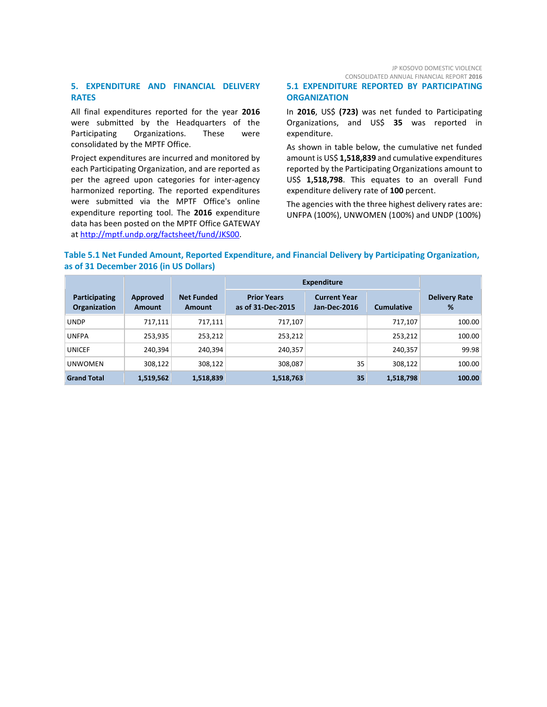JP KOSOVO DOMESTIC VIOLENCE CONSOLIDATED ANNUAL FINANCIAL REPORT **2016**

#### **5. EXPENDITURE AND FINANCIAL DELIVERY RATES**

All final expenditures reported for the year **2016** were submitted by the Headquarters of the Participating Organizations. These were consolidated by the MPTF Office.

Project expenditures are incurred and monitored by each Participating Organization, and are reported as per the agreed upon categories for inter-agency harmonized reporting. The reported expenditures were submitted via the MPTF Office's online expenditure reporting tool. The **2016** expenditure data has been posted on the MPTF Office GATEWAY at [http://mptf.undp.org/factsheet/fund/JKS00.](http://mptf.undp.org/factsheet/fund/JKS00)

**ORGANIZATION** In **2016**, US\$ **(723)** was net funded to Participating

**5.1 EXPENDITURE REPORTED BY PARTICIPATING** 

Organizations, and US\$ **35** was reported in expenditure.

As shown in table below, the cumulative net funded amount is US\$ **1,518,839** and cumulative expenditures reported by the Participating Organizations amount to US\$ **1,518,798**. This equates to an overall Fund expenditure delivery rate of **100** percent.

The agencies with the three highest delivery rates are: UNFPA (100%), UNWOMEN (100%) and UNDP (100%)

#### **Table 5.1 Net Funded Amount, Reported Expenditure, and Financial Delivery by Participating Organization, as of 31 December 2016 (in US Dollars)**

|                                      |                           |                             | <b>Expenditure</b>                      |                                     |                   |                           |
|--------------------------------------|---------------------------|-----------------------------|-----------------------------------------|-------------------------------------|-------------------|---------------------------|
| Participating<br><b>Organization</b> | Approved<br><b>Amount</b> | <b>Net Funded</b><br>Amount | <b>Prior Years</b><br>as of 31-Dec-2015 | <b>Current Year</b><br>Jan-Dec-2016 | <b>Cumulative</b> | <b>Delivery Rate</b><br>% |
| <b>UNDP</b>                          | 717,111                   | 717,111                     | 717,107                                 |                                     | 717,107           | 100.00                    |
| <b>UNFPA</b>                         | 253,935                   | 253,212                     | 253,212                                 |                                     | 253,212           | 100.00                    |
| <b>UNICEF</b>                        | 240,394                   | 240,394                     | 240,357                                 |                                     | 240,357           | 99.98                     |
| <b>UNWOMEN</b>                       | 308,122                   | 308,122                     | 308,087                                 | 35                                  | 308,122           | 100.00                    |
| <b>Grand Total</b>                   | 1,519,562                 | 1,518,839                   | 1,518,763                               | 35                                  | 1,518,798         | 100.00                    |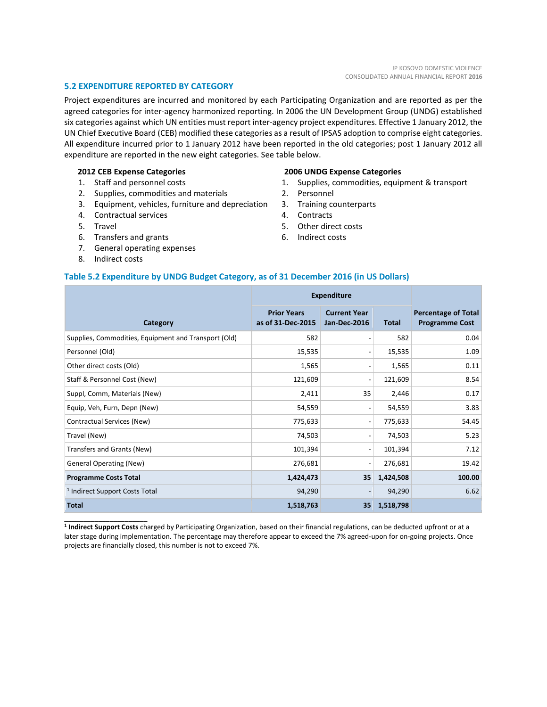#### **5.2 EXPENDITURE REPORTED BY CATEGORY**

Project expenditures are incurred and monitored by each Participating Organization and are reported as per the agreed categories for inter-agency harmonized reporting. In 2006 the UN Development Group (UNDG) established six categories against which UN entities must report inter-agency project expenditures. Effective 1 January 2012, the UN Chief Executive Board (CEB) modified these categories as a result of IPSAS adoption to comprise eight categories. All expenditure incurred prior to 1 January 2012 have been reported in the old categories; post 1 January 2012 all expenditure are reported in the new eight categories. See table below.

#### **2012 CEB Expense Categories**

- 1. Staff and personnel costs
- 2. Supplies, commodities and materials
- 3. Equipment, vehicles, furniture and depreciation
- 4. Contractual services
- 5. Travel
- 6. Transfers and grants
- 7. General operating expenses
- 8. Indirect costs

\_\_\_\_\_\_\_\_\_\_\_\_\_\_\_\_\_\_\_\_\_\_

#### **2006 UNDG Expense Categories**

- 1. Supplies, commodities, equipment & transport
- 2. Personnel
- 3. Training counterparts
- 4. Contracts
- 5. Other direct costs
- 6. Indirect costs

#### **Table 5.2 Expenditure by UNDG Budget Category, as of 31 December 2016 (in US Dollars)**

|                                                      | <b>Expenditure</b>                      |                                            |              |                                                     |
|------------------------------------------------------|-----------------------------------------|--------------------------------------------|--------------|-----------------------------------------------------|
| Category                                             | <b>Prior Years</b><br>as of 31-Dec-2015 | <b>Current Year</b><br><b>Jan-Dec-2016</b> | <b>Total</b> | <b>Percentage of Total</b><br><b>Programme Cost</b> |
| Supplies, Commodities, Equipment and Transport (Old) | 582                                     | $\overline{ }$                             | 582          | 0.04                                                |
| Personnel (Old)                                      | 15,535                                  | $\overline{a}$                             | 15,535       | 1.09                                                |
| Other direct costs (Old)                             | 1,565                                   | $\overline{\phantom{a}}$                   | 1,565        | 0.11                                                |
| Staff & Personnel Cost (New)                         | 121,609                                 | $\overline{a}$                             | 121,609      | 8.54                                                |
| Suppl, Comm, Materials (New)                         | 2,411                                   | 35                                         | 2,446        | 0.17                                                |
| Equip, Veh, Furn, Depn (New)                         | 54,559                                  | $\overline{a}$                             | 54,559       | 3.83                                                |
| Contractual Services (New)                           | 775,633                                 | $\overline{a}$                             | 775,633      | 54.45                                               |
| Travel (New)                                         | 74,503                                  | $\overline{\phantom{0}}$                   | 74,503       | 5.23                                                |
| Transfers and Grants (New)                           | 101,394                                 | $\overline{a}$                             | 101,394      | 7.12                                                |
| <b>General Operating (New)</b>                       | 276,681                                 | $\overline{a}$                             | 276,681      | 19.42                                               |
| <b>Programme Costs Total</b>                         | 1,424,473                               | 35                                         | 1,424,508    | 100.00                                              |
| <sup>1</sup> Indirect Support Costs Total            | 94,290                                  | $\overline{a}$                             | 94,290       | 6.62                                                |
| <b>Total</b>                                         | 1,518,763                               | 35                                         | 1,518,798    |                                                     |

**<sup>1</sup> Indirect Support Costs** charged by Participating Organization, based on their financial regulations, can be deducted upfront or at a later stage during implementation. The percentage may therefore appear to exceed the 7% agreed-upon for on-going projects. Once projects are financially closed, this number is not to exceed 7%.